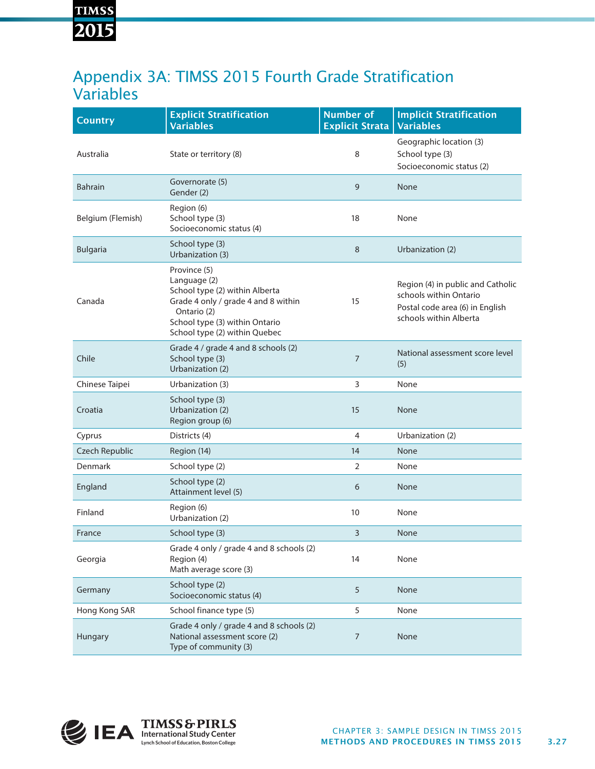# **TIMSS** 2015

### Appendix 3A: TIMSS 2015 Fourth Grade Stratification Variables

| <b>Country</b>    | <b>Explicit Stratification</b><br><b>Variables</b>                                                                                                                                      | <b>Number of</b><br><b>Explicit Strata</b> | <b>Implicit Stratification</b><br><b>Variables</b>                                                                       |
|-------------------|-----------------------------------------------------------------------------------------------------------------------------------------------------------------------------------------|--------------------------------------------|--------------------------------------------------------------------------------------------------------------------------|
| Australia         | State or territory (8)                                                                                                                                                                  | 8                                          | Geographic location (3)<br>School type (3)<br>Socioeconomic status (2)                                                   |
| <b>Bahrain</b>    | Governorate (5)<br>Gender (2)                                                                                                                                                           | 9                                          | None                                                                                                                     |
| Belgium (Flemish) | Region (6)<br>School type (3)<br>Socioeconomic status (4)                                                                                                                               | 18                                         | None                                                                                                                     |
| <b>Bulgaria</b>   | School type (3)<br>Urbanization (3)                                                                                                                                                     | 8                                          | Urbanization (2)                                                                                                         |
| Canada            | Province (5)<br>Language (2)<br>School type (2) within Alberta<br>Grade 4 only / grade 4 and 8 within<br>Ontario (2)<br>School type (3) within Ontario<br>School type (2) within Quebec | 15                                         | Region (4) in public and Catholic<br>schools within Ontario<br>Postal code area (6) in English<br>schools within Alberta |
| Chile             | Grade 4 / grade 4 and 8 schools (2)<br>School type (3)<br>Urbanization (2)                                                                                                              | 7                                          | National assessment score level<br>(5)                                                                                   |
| Chinese Taipei    | Urbanization (3)                                                                                                                                                                        | 3                                          | None                                                                                                                     |
| Croatia           | School type (3)<br>Urbanization (2)<br>Region group (6)                                                                                                                                 | 15                                         | None                                                                                                                     |
| Cyprus            | Districts (4)                                                                                                                                                                           | 4                                          | Urbanization (2)                                                                                                         |
| Czech Republic    | Region (14)                                                                                                                                                                             | 14                                         | None                                                                                                                     |
| <b>Denmark</b>    | School type (2)                                                                                                                                                                         | $\overline{2}$                             | None                                                                                                                     |
| England           | School type (2)<br>Attainment level (5)                                                                                                                                                 | 6                                          | None                                                                                                                     |
| Finland           | Region (6)<br>Urbanization (2)                                                                                                                                                          | 10                                         | None                                                                                                                     |
| France            | School type (3)                                                                                                                                                                         | 3                                          | None                                                                                                                     |
| Georgia           | Grade 4 only / grade 4 and 8 schools (2)<br>Region (4)<br>Math average score (3)                                                                                                        | 14                                         | None                                                                                                                     |
| Germany           | School type (2)<br>Socioeconomic status (4)                                                                                                                                             | 5                                          | <b>None</b>                                                                                                              |
| Hong Kong SAR     | School finance type (5)                                                                                                                                                                 | 5                                          | None                                                                                                                     |
| Hungary           | Grade 4 only / grade 4 and 8 schools (2)<br>National assessment score (2)<br>Type of community (3)                                                                                      | $\overline{7}$                             | None                                                                                                                     |

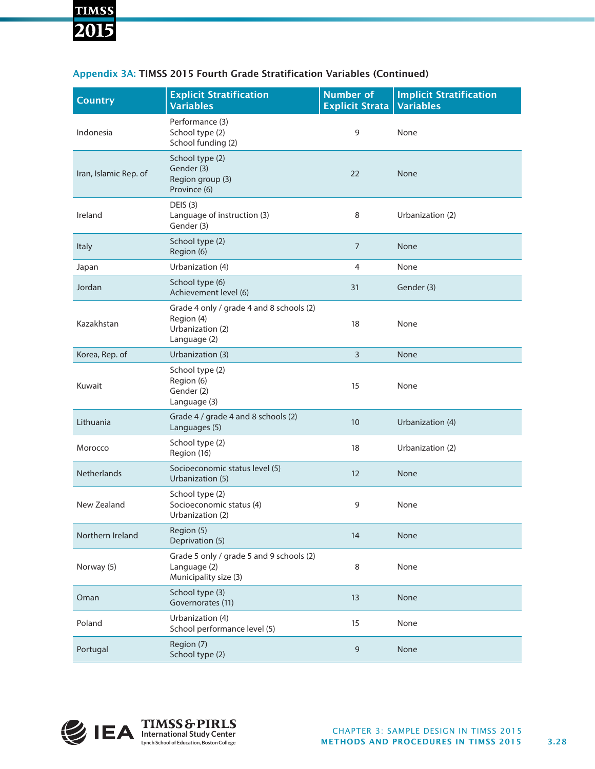## **TIMSS** 2015

| <b>Country</b>        | <b>Explicit Stratification</b><br><b>Variables</b>                                         | <b>Number of</b><br><b>Explicit Strata</b> | <b>Implicit Stratification</b><br><b>Variables</b> |
|-----------------------|--------------------------------------------------------------------------------------------|--------------------------------------------|----------------------------------------------------|
| Indonesia             | Performance (3)<br>School type (2)<br>School funding (2)                                   | 9                                          | None                                               |
| Iran, Islamic Rep. of | School type (2)<br>Gender (3)<br>Region group (3)<br>Province (6)                          | 22                                         | None                                               |
| Ireland               | <b>DEIS (3)</b><br>Language of instruction (3)<br>Gender (3)                               | 8                                          | Urbanization (2)                                   |
| <b>Italy</b>          | School type (2)<br>Region (6)                                                              | $\overline{7}$                             | None                                               |
| Japan                 | Urbanization (4)                                                                           | 4                                          | None                                               |
| Jordan                | School type (6)<br>Achievement level (6)                                                   | 31                                         | Gender (3)                                         |
| Kazakhstan            | Grade 4 only / grade 4 and 8 schools (2)<br>Region (4)<br>Urbanization (2)<br>Language (2) | 18                                         | None                                               |
| Korea, Rep. of        | Urbanization (3)                                                                           | $\overline{3}$                             | None                                               |
| Kuwait                | School type (2)<br>Region (6)<br>Gender (2)<br>Language (3)                                | 15                                         | None                                               |
| Lithuania             | Grade 4 / grade 4 and 8 schools (2)<br>Languages (5)                                       | 10                                         | Urbanization (4)                                   |
| Morocco               | School type (2)<br>Region (16)                                                             | 18                                         | Urbanization (2)                                   |
| <b>Netherlands</b>    | Socioeconomic status level (5)<br>Urbanization (5)                                         | 12                                         | None                                               |
| New Zealand           | School type (2)<br>Socioeconomic status (4)<br>Urbanization (2)                            | 9                                          | None                                               |
| Northern Ireland      | Region (5)<br>Deprivation (5)                                                              | 14                                         | None                                               |
| Norway (5)            | Grade 5 only / grade 5 and 9 schools (2)<br>Language (2)<br>Municipality size (3)          | 8                                          | None                                               |
| Oman                  | School type (3)<br>Governorates (11)                                                       | 13                                         | None                                               |
| Poland                | Urbanization (4)<br>School performance level (5)                                           | 15                                         | None                                               |
| Portugal              | Region (7)<br>School type (2)                                                              | $\mathsf 9$                                | None                                               |

#### Appendix 3A: TIMSS 2015 Fourth Grade Stratification Variables (Continued)

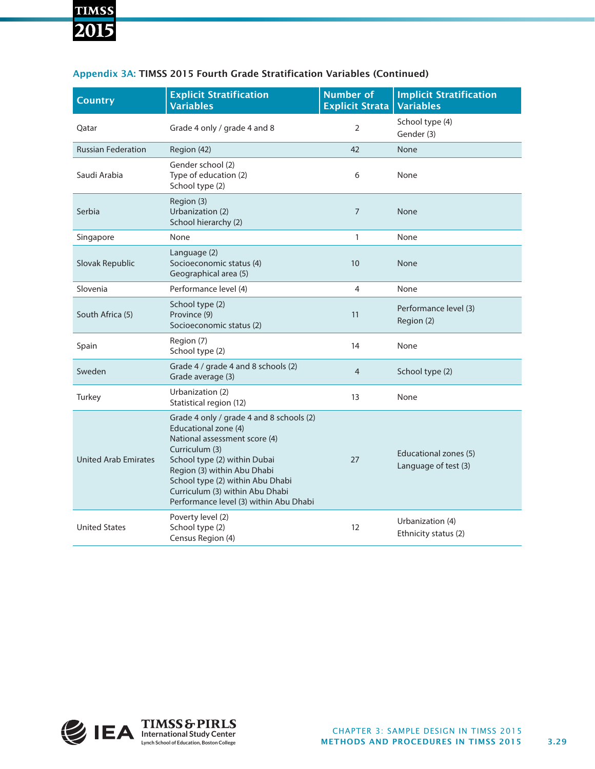### **TIMSS** 2015

| <b>Country</b>              | <b>Explicit Stratification</b><br><b>Variables</b>                                                                                                                                                                                                                                                  | <b>Number of</b><br><b>Explicit Strata</b> | <b>Implicit Stratification</b><br><b>Variables</b> |
|-----------------------------|-----------------------------------------------------------------------------------------------------------------------------------------------------------------------------------------------------------------------------------------------------------------------------------------------------|--------------------------------------------|----------------------------------------------------|
| Qatar                       | Grade 4 only / grade 4 and 8                                                                                                                                                                                                                                                                        | $\overline{2}$                             | School type (4)<br>Gender (3)                      |
| <b>Russian Federation</b>   | Region (42)                                                                                                                                                                                                                                                                                         | 42                                         | <b>None</b>                                        |
| Saudi Arabia                | Gender school (2)<br>Type of education (2)<br>School type (2)                                                                                                                                                                                                                                       | 6                                          | None                                               |
| Serbia                      | Region (3)<br>Urbanization (2)<br>School hierarchy (2)                                                                                                                                                                                                                                              | $\overline{7}$                             | <b>None</b>                                        |
| Singapore                   | None                                                                                                                                                                                                                                                                                                | $\mathbf{1}$                               | None                                               |
| Slovak Republic             | Language (2)<br>Socioeconomic status (4)<br>Geographical area (5)                                                                                                                                                                                                                                   | 10 <sup>1</sup>                            | <b>None</b>                                        |
| Slovenia                    | Performance level (4)                                                                                                                                                                                                                                                                               | 4                                          | None                                               |
| South Africa (5)            | School type (2)<br>Province (9)<br>Socioeconomic status (2)                                                                                                                                                                                                                                         | 11                                         | Performance level (3)<br>Region (2)                |
| Spain                       | Region (7)<br>School type (2)                                                                                                                                                                                                                                                                       | 14                                         | None                                               |
| Sweden                      | Grade 4 / grade 4 and 8 schools (2)<br>Grade average (3)                                                                                                                                                                                                                                            | $\overline{4}$                             | School type (2)                                    |
| Turkey                      | Urbanization (2)<br>Statistical region (12)                                                                                                                                                                                                                                                         | 13                                         | None                                               |
| <b>United Arab Emirates</b> | Grade 4 only / grade 4 and 8 schools (2)<br>Educational zone (4)<br>National assessment score (4)<br>Curriculum (3)<br>School type (2) within Dubai<br>Region (3) within Abu Dhabi<br>School type (2) within Abu Dhabi<br>Curriculum (3) within Abu Dhabi<br>Performance level (3) within Abu Dhabi | 27                                         | Educational zones (5)<br>Language of test (3)      |
| <b>United States</b>        | Poverty level (2)<br>School type (2)<br>Census Region (4)                                                                                                                                                                                                                                           | 12                                         | Urbanization (4)<br>Ethnicity status (2)           |

#### Appendix 3A: TIMSS 2015 Fourth Grade Stratification Variables (Continued)